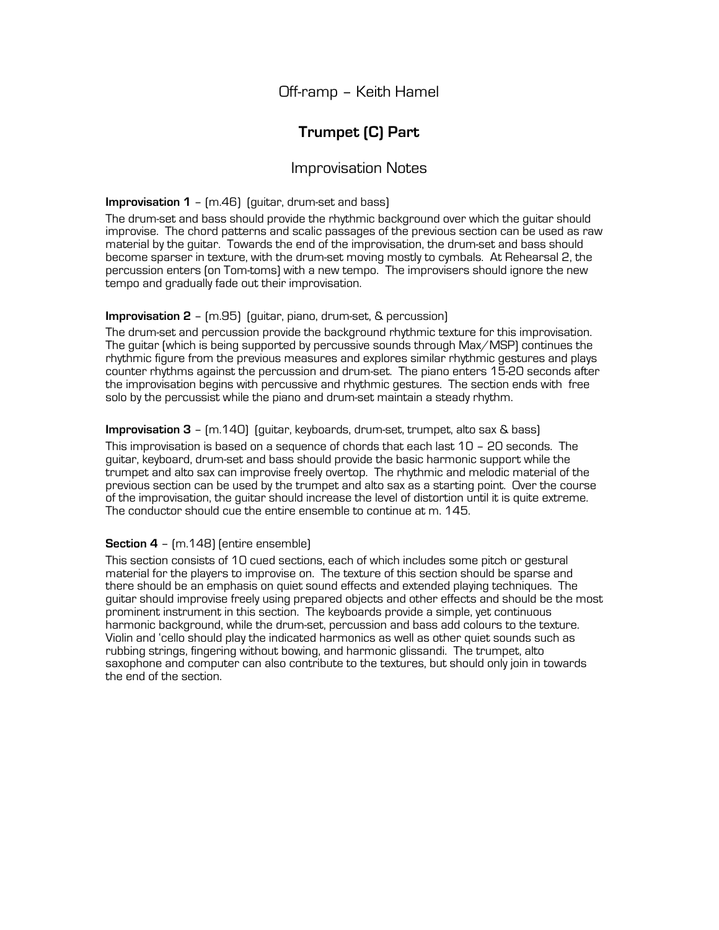Off-ramp – Keith Hamel

# **Trumpet (C) Part**

# Improvisation Notes

#### **Improvisation 1** – (m.46) (guitar, drum-set and bass)

The drum-set and bass should provide the rhythmic background over which the guitar should improvise. The chord patterns and scalic passages of the previous section can be used as raw material by the guitar. Towards the end of the improvisation, the drum-set and bass should become sparser in texture, with the drum-set moving mostly to cymbals. At Rehearsal 2, the percussion enters (on Tom-toms) with a new tempo. The improvisers should ignore the new tempo and gradually fade out their improvisation.

## **Improvisation 2** – (m.95) (guitar, piano, drum-set, & percussion)

The drum-set and percussion provide the background rhythmic texture for this improvisation. The guitar (which is being supported by percussive sounds through Max/MSP) continues the rhythmic figure from the previous measures and explores similar rhythmic gestures and plays counter rhythms against the percussion and drum-set. The piano enters 15-20 seconds after the improvisation begins with percussive and rhythmic gestures. The section ends with free solo by the percussist while the piano and drum-set maintain a steady rhythm.

### **Improvisation 3** – (m.140) (guitar, keyboards, drum-set, trumpet, alto sax & bass)

This improvisation is based on a sequence of chords that each last 10 – 20 seconds. The guitar, keyboard, drum-set and bass should provide the basic harmonic support while the trumpet and alto sax can improvise freely overtop. The rhythmic and melodic material of the previous section can be used by the trumpet and alto sax as a starting point. Over the course of the improvisation, the guitar should increase the level of distortion until it is quite extreme. The conductor should cue the entire ensemble to continue at m. 145.

#### **Section 4** – (m.148) (entire ensemble)

This section consists of 10 cued sections, each of which includes some pitch or gestural material for the players to improvise on. The texture of this section should be sparse and there should be an emphasis on quiet sound effects and extended playing techniques. The guitar should improvise freely using prepared objects and other effects and should be the most prominent instrument in this section. The keyboards provide a simple, yet continuous harmonic background, while the drum-set, percussion and bass add colours to the texture. Violin and 'cello should play the indicated harmonics as well as other quiet sounds such as rubbing strings, fingering without bowing, and harmonic glissandi. The trumpet, alto saxophone and computer can also contribute to the textures, but should only join in towards the end of the section.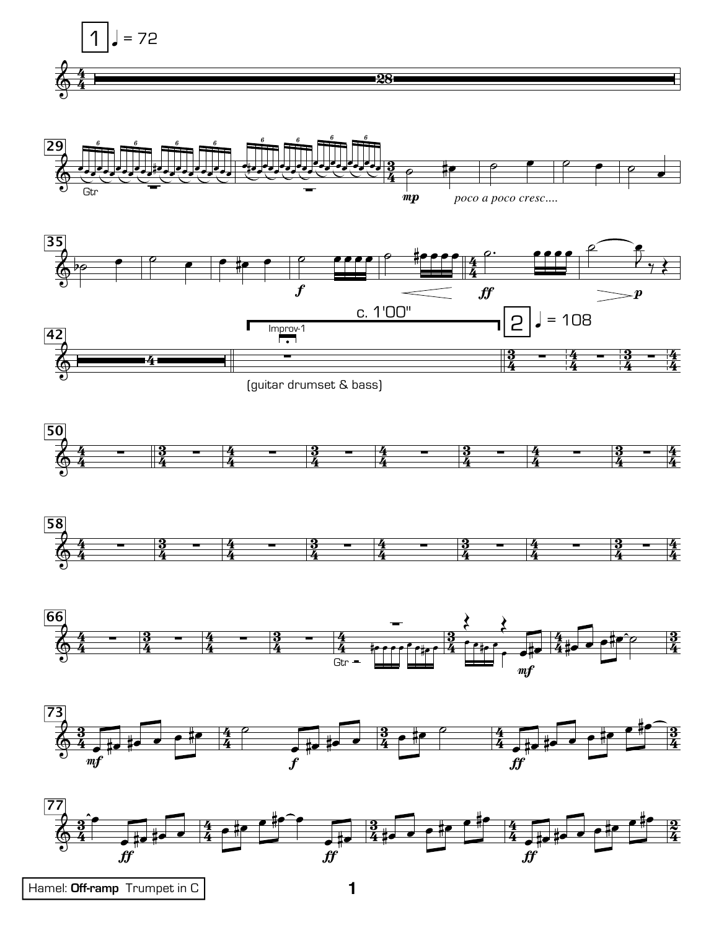















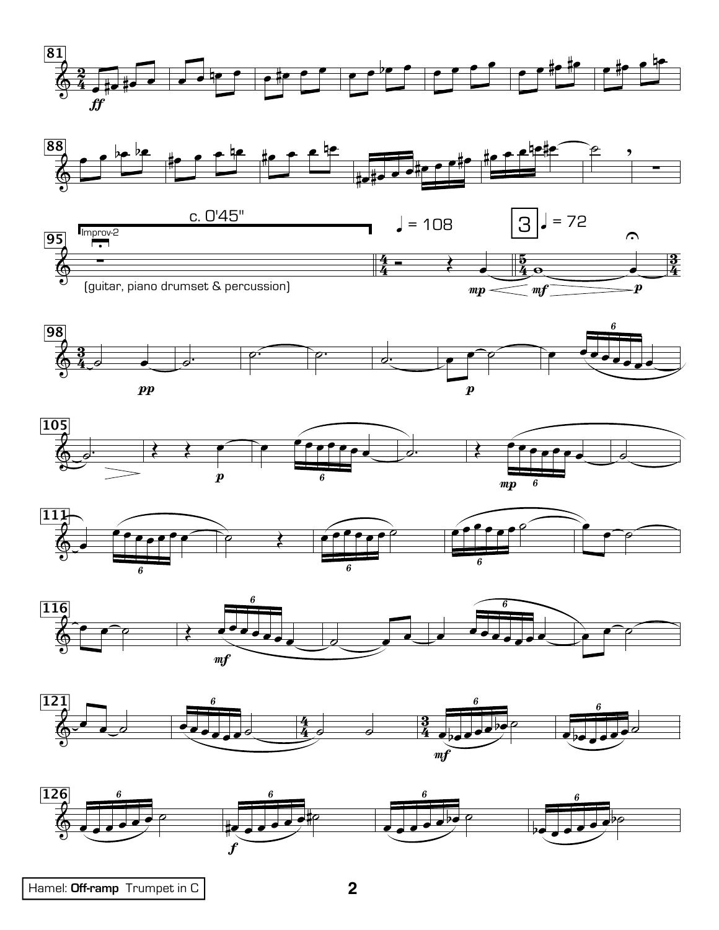

















Hamel: Off-ramp Trumpet in C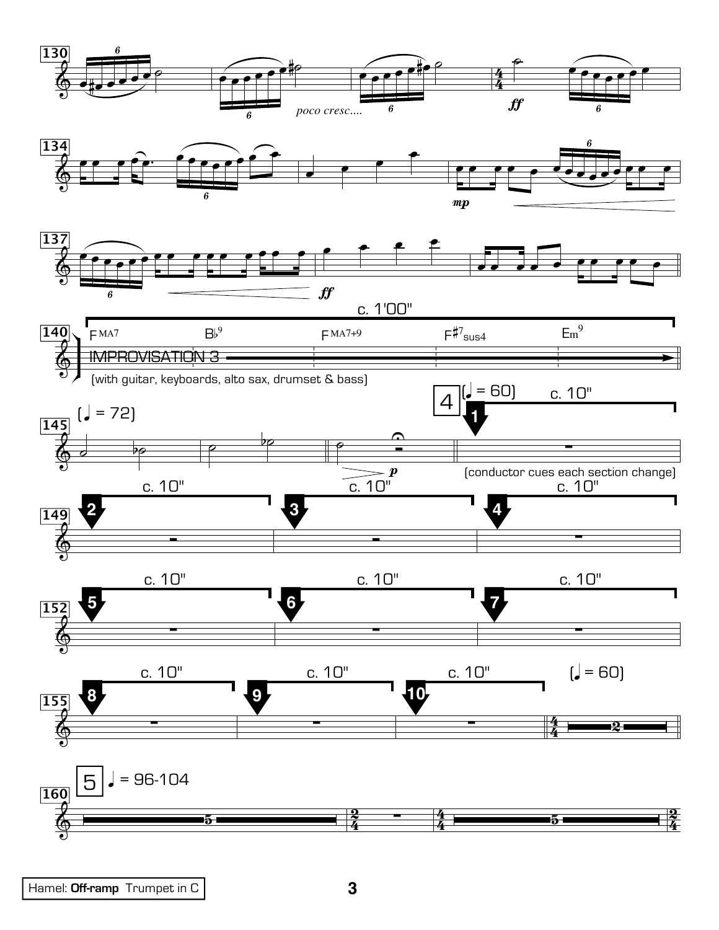